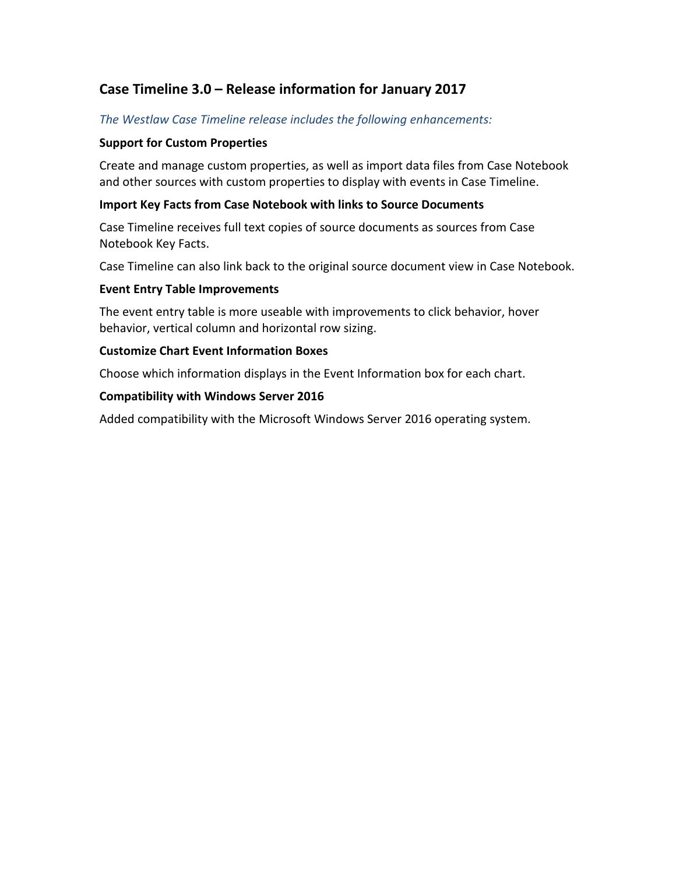# **Case Timeline 3.0 – Release information for January 2017**

# *The Westlaw Case Timeline release includes the following enhancements:*

### **Support for Custom Properties**

Create and manage custom properties, as well as import data files from Case Notebook and other sources with custom properties to display with events in Case Timeline.

### **Import Key Facts from Case Notebook with links to Source Documents**

Case Timeline receives full text copies of source documents as sources from Case Notebook Key Facts.

Case Timeline can also link back to the original source document view in Case Notebook.

#### **Event Entry Table Improvements**

The event entry table is more useable with improvements to click behavior, hover behavior, vertical column and horizontal row sizing.

#### **Customize Chart Event Information Boxes**

Choose which information displays in the Event Information box for each chart.

#### **Compatibility with Windows Server 2016**

Added compatibility with the Microsoft Windows Server 2016 operating system.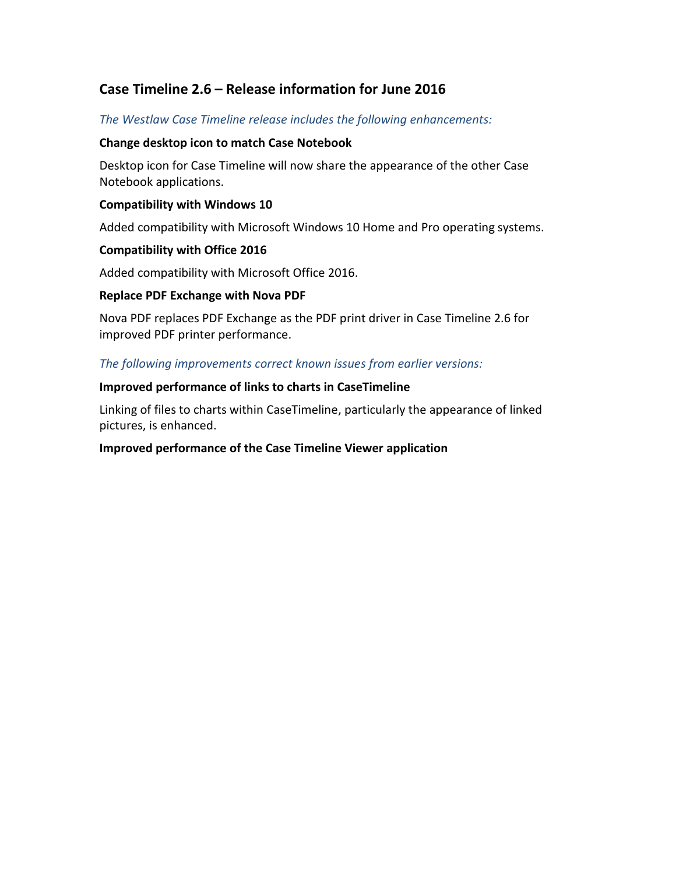# **Case Timeline 2.6 – Release information for June 2016**

# *The Westlaw Case Timeline release includes the following enhancements:*

## **Change desktop icon to match Case Notebook**

Desktop icon for Case Timeline will now share the appearance of the other Case Notebook applications.

### **Compatibility with Windows 10**

Added compatibility with Microsoft Windows 10 Home and Pro operating systems.

#### **Compatibility with Office 2016**

Added compatibility with Microsoft Office 2016.

#### **Replace PDF Exchange with Nova PDF**

Nova PDF replaces PDF Exchange as the PDF print driver in Case Timeline 2.6 for improved PDF printer performance.

#### *The following improvements correct known issues from earlier versions:*

#### **Improved performance of links to charts in CaseTimeline**

Linking of files to charts within CaseTimeline, particularly the appearance of linked pictures, is enhanced.

## **Improved performance of the Case Timeline Viewer application**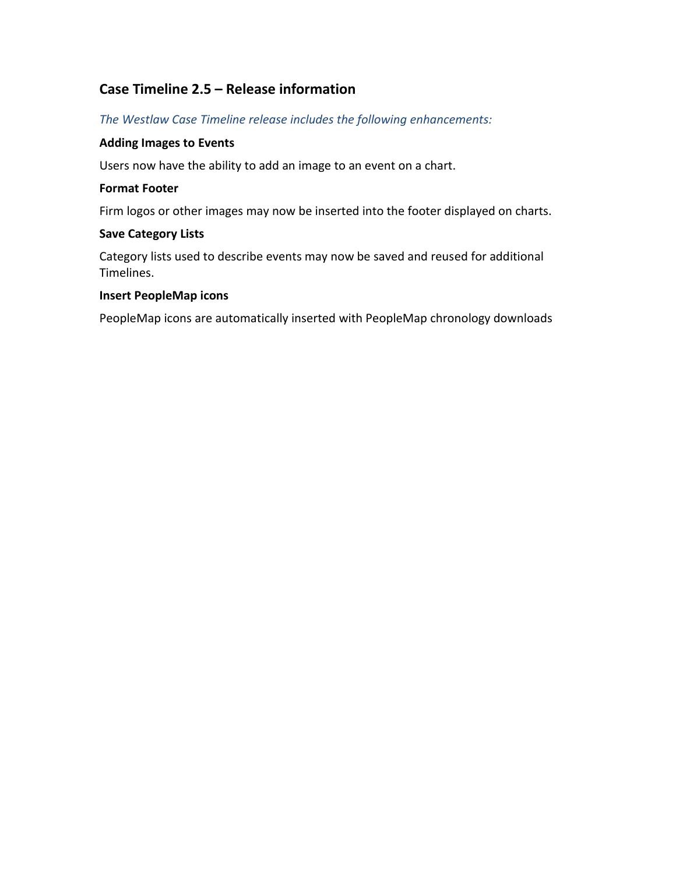# **Case Timeline 2.5 – Release information**

*The Westlaw Case Timeline release includes the following enhancements:*

# **Adding Images to Events**

Users now have the ability to add an image to an event on a chart.

# **Format Footer**

Firm logos or other images may now be inserted into the footer displayed on charts.

# **Save Category Lists**

Category lists used to describe events may now be saved and reused for additional Timelines.

## **Insert PeopleMap icons**

PeopleMap icons are automatically inserted with PeopleMap chronology downloads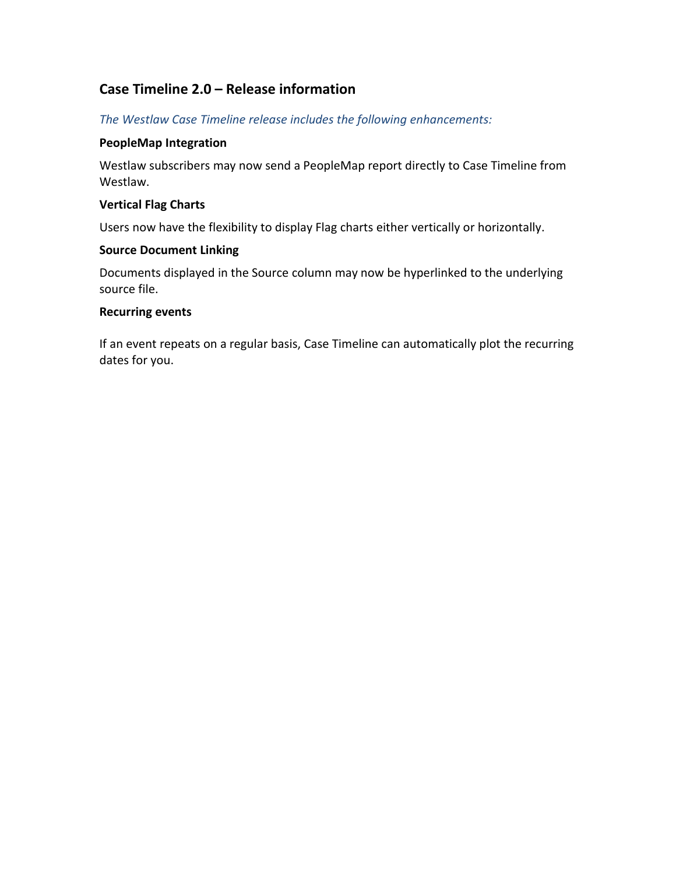# **Case Timeline 2.0 – Release information**

*The Westlaw Case Timeline release includes the following enhancements:*

# **PeopleMap Integration**

Westlaw subscribers may now send a PeopleMap report directly to Case Timeline from Westlaw.

# **Vertical Flag Charts**

Users now have the flexibility to display Flag charts either vertically or horizontally.

## **Source Document Linking**

Documents displayed in the Source column may now be hyperlinked to the underlying source file.

## **Recurring events**

If an event repeats on a regular basis, Case Timeline can automatically plot the recurring dates for you.